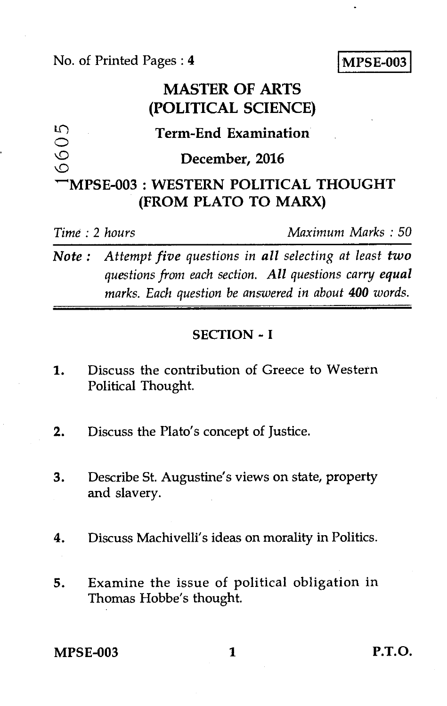No. of Printed Pages : 4 MPSE-003

# **MASTER OF ARTS (POLITICAL SCIENCE)**

6605 **Term-End Examination December, 2016 'MPSE-003 : WESTERN POLITICAL THOUGHT (FROM PLATO TO MARX)** 

*Time* : *2 hours Maximum Marks : 50* 

*Note : Attempt five questions in all selecting at least two questions from each section. All questions carry equal marks. Each question be answered in about 400 words.* 

#### **SECTION - I**

- 1. Discuss the contribution of Greece to Western Political Thought.
- 2. Discuss the Plato's concept of Justice.
- 3. Describe St. Augustine's views on state, property and slavery.
- 4. Discuss Machivelli's ideas on morality in Politics.
- 5. Examine the issue of political obligation in Thomas Hobbe's thought.

**MPSE-003 1 P.T.O.**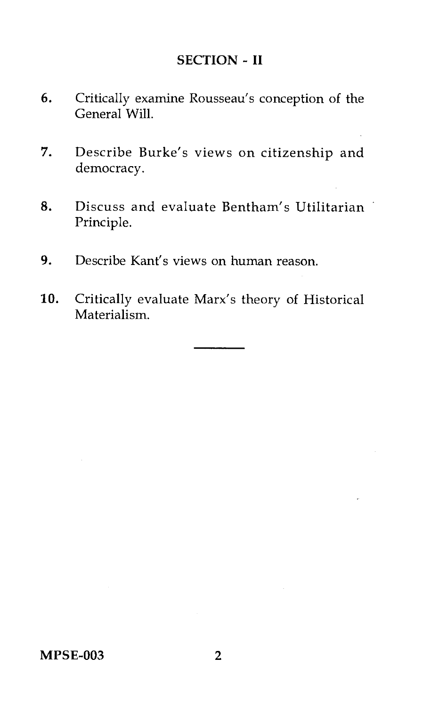# SECTION - II

- 6. Critically examine Rousseau's conception of the General Will.
- 7. Describe Burke's views on citizenship and democracy.
- 8. Discuss and evaluate Bentham's Utilitarian Principle.
- 9. Describe Kant's views on human reason.
- 10. Critically evaluate Marx's theory of Historical Materialism.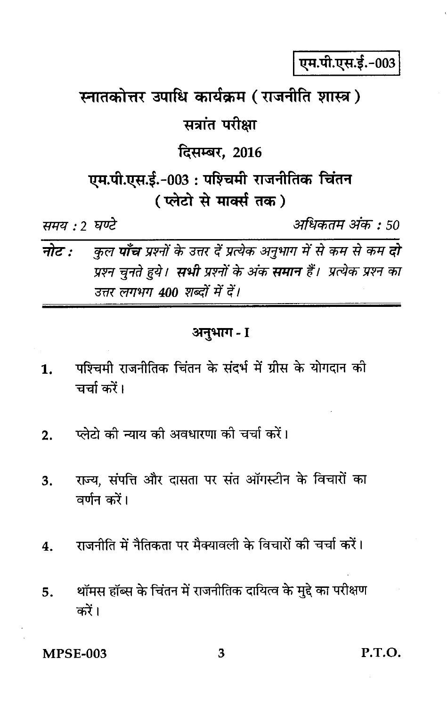एम.पी.एस.ई.-003

स्नातकोत्तर उपाधि कार्यक्रम (राजनीति शास्त्र)

सत्रांत परीक्षा

दिसम्बर, 2016

एम.पी.एस.ई.-003: पश्चिमी राजनीतिक चिंतन ( प्लेटो से मार्क्स तक)

समय : 2 घण्टे

अधिकतम अंक : 50

नोट $\cdot$ कुल **पाँच** प्रश्नों के उत्तर दें प्रत्येक अनुभाग में से कम से कम **दो** प्रश्न चुनते हुये। **सभी** प्रश्नों के अंक **समान** हैं। प्रत्येक प्रश्न का उत्तर लगभग 400 शब्दों में दें।

### अनुभाग - I

- पश्चिमी राजनीतिक चिंतन के संदर्भ में ग्रीस के योगदान की 1. चर्चा करें।
- प्लेटो की न्याय की अवधारणा की चर्चा करें।  $2.$
- राज्य, संपत्ति और दासता पर संत ऑगस्टीन के विचारों का 3. वर्णन करें।
- राजनीति में नैतिकता पर मैक्यावली के विचारों की चर्चा करें।  $\boldsymbol{4}$ .
- थॉमस हॉब्स के चिंतन में राजनीतिक दायित्व के मुद्दे का परीक्षण 5. करें।

**MPSE-003** 

P.T.O.